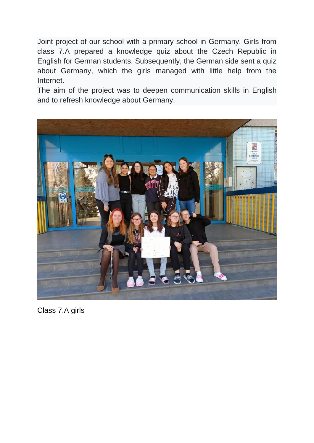Joint project of our school with a primary school in Germany. Girls from class 7.A prepared a knowledge quiz about the Czech Republic in English for German students. Subsequently, the German side sent a quiz about Germany, which the girls managed with little help from the Internet.

The aim of the project was to deepen communication skills in English and to refresh knowledge about Germany.



Class 7.A girls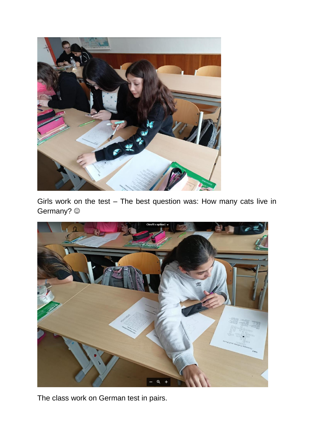

Girls work on the test – The best question was: How many cats live in Germany? @



The class work on German test in pairs.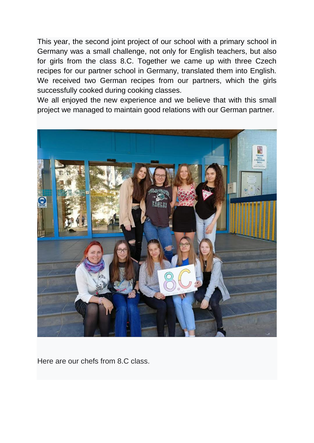This year, the second joint project of our school with a primary school in Germany was a small challenge, not only for English teachers, but also for girls from the class 8.C. Together we came up with three Czech recipes for our partner school in Germany, translated them into English. We received two German recipes from our partners, which the girls successfully cooked during cooking classes.

We all enjoyed the new experience and we believe that with this small project we managed to maintain good relations with our German partner.



Here are our chefs from 8.C class.